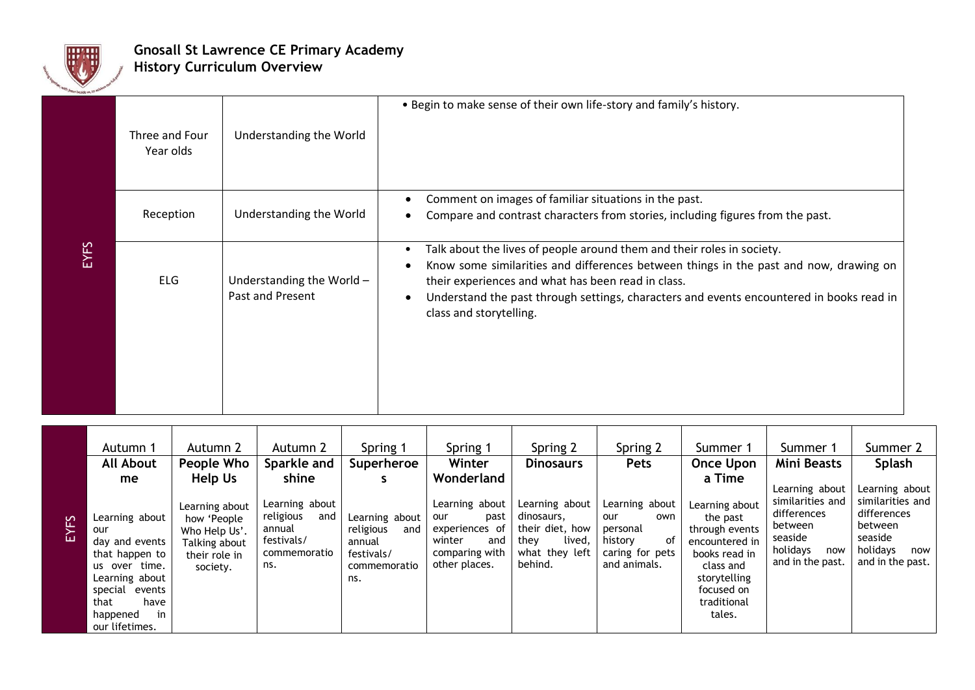

## **Gnosall St Lawrence CE Primary Academy History Curriculum Overview**

| EYFS | Three and Four<br>Year olds | Understanding the World                       | . Begin to make sense of their own life-story and family's history.                                                                                                                                                                                                                                                                          |
|------|-----------------------------|-----------------------------------------------|----------------------------------------------------------------------------------------------------------------------------------------------------------------------------------------------------------------------------------------------------------------------------------------------------------------------------------------------|
|      | Reception                   | Understanding the World                       | Comment on images of familiar situations in the past.<br>Compare and contrast characters from stories, including figures from the past.                                                                                                                                                                                                      |
|      | <b>ELG</b>                  | Understanding the World -<br>Past and Present | Talk about the lives of people around them and their roles in society.<br>Know some similarities and differences between things in the past and now, drawing on<br>their experiences and what has been read in class.<br>Understand the past through settings, characters and events encountered in books read in<br>class and storytelling. |
|      |                             |                                               |                                                                                                                                                                                                                                                                                                                                              |

|      | Autumn 1                                                                                                                                                                    | Autumn 2                                                                                                | Autumn 2                                                                                   | Spring 1                                                                          | Spring 1                                                                                                          | Spring 2                                                                                       | Spring 2                                                                                     | Summer 1                                                                                                                                                      | Summer 1                                                                                                       | Summer 2                                                                                                       |
|------|-----------------------------------------------------------------------------------------------------------------------------------------------------------------------------|---------------------------------------------------------------------------------------------------------|--------------------------------------------------------------------------------------------|-----------------------------------------------------------------------------------|-------------------------------------------------------------------------------------------------------------------|------------------------------------------------------------------------------------------------|----------------------------------------------------------------------------------------------|---------------------------------------------------------------------------------------------------------------------------------------------------------------|----------------------------------------------------------------------------------------------------------------|----------------------------------------------------------------------------------------------------------------|
|      | <b>All About</b>                                                                                                                                                            | People Who                                                                                              | Sparkle and                                                                                | Superheroe                                                                        | Winter                                                                                                            | <b>Dinosaurs</b>                                                                               | <b>Pets</b>                                                                                  | <b>Once Upon</b>                                                                                                                                              | Mini Beasts                                                                                                    | Splash                                                                                                         |
| EYFS | me<br>Learning about<br>our<br>day and events<br>that happen to<br>us over time.<br>Learning about<br>special<br>events<br>that<br>have<br>in<br>happened<br>our lifetimes. | Help Us<br>Learning about<br>how 'People<br>Who Help Us'.<br>Talking about<br>their role in<br>society. | shine<br>Learning about<br>religious<br>and<br>annual<br>festivals/<br>commemoratio<br>ns. | Learning about<br>religious<br>and<br>annual<br>festivals/<br>commemoratio<br>ns. | Wonderland<br>Learning about<br>past<br>our<br>experiences of<br>winter<br>and<br>comparing with<br>other places. | Learning about<br>dinosaurs,<br>their diet, how<br>they<br>lived,<br>what they left<br>behind. | Learning about<br>own<br>our<br>personal<br>0f<br>history<br>caring for pets<br>and animals. | a Time<br>Learning about<br>the past<br>through events<br>encountered in<br>books read in<br>class and<br>storytelling<br>focused on<br>traditional<br>tales. | Learning about<br>similarities and<br>differences<br>between<br>seaside<br>holidays<br>now<br>and in the past. | Learning about<br>similarities and<br>differences<br>between<br>seaside<br>holidays<br>now<br>and in the past. |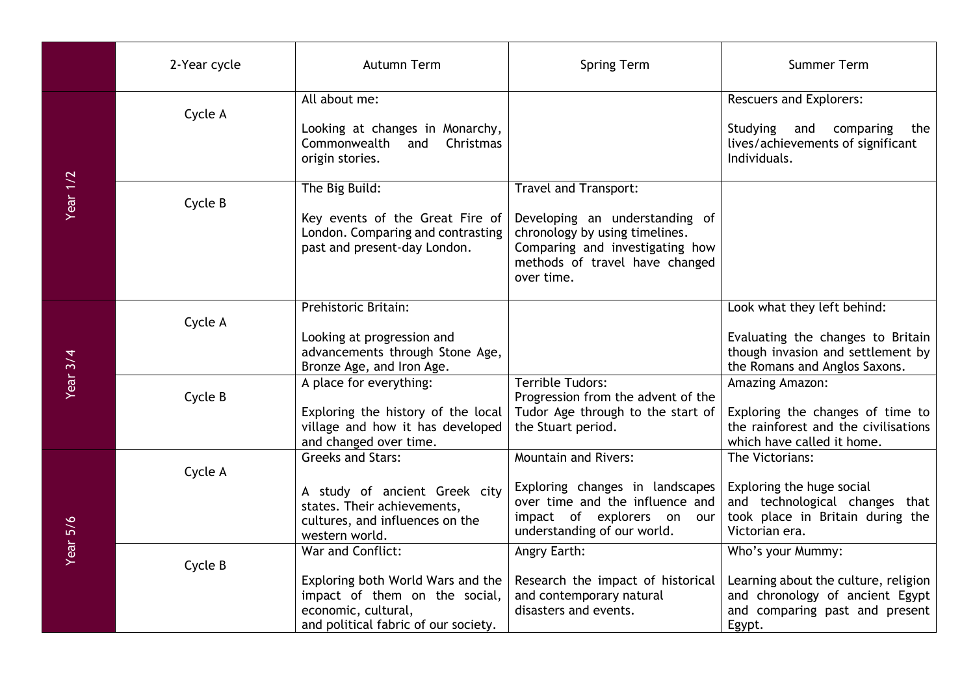|                                    | 2-Year cycle | Autumn Term                                                                                                                                            | <b>Spring Term</b>                                                                                                                                                           | <b>Summer Term</b>                                                                                                                       |
|------------------------------------|--------------|--------------------------------------------------------------------------------------------------------------------------------------------------------|------------------------------------------------------------------------------------------------------------------------------------------------------------------------------|------------------------------------------------------------------------------------------------------------------------------------------|
|                                    | Cycle A      | All about me:<br>Looking at changes in Monarchy,<br>Commonwealth and<br>Christmas<br>origin stories.                                                   |                                                                                                                                                                              | <b>Rescuers and Explorers:</b><br>Studying<br>and<br>comparing<br>the<br>lives/achievements of significant<br>Individuals.               |
| <b>Year 1/2</b><br><b>Year 3/4</b> | Cycle B      | The Big Build:<br>Key events of the Great Fire of<br>London. Comparing and contrasting<br>past and present-day London.                                 | Travel and Transport:<br>Developing an understanding of<br>chronology by using timelines.<br>Comparing and investigating how<br>methods of travel have changed<br>over time. |                                                                                                                                          |
|                                    | Cycle A      | Prehistoric Britain:<br>Looking at progression and<br>advancements through Stone Age,<br>Bronze Age, and Iron Age.                                     |                                                                                                                                                                              | Look what they left behind:<br>Evaluating the changes to Britain<br>though invasion and settlement by<br>the Romans and Anglos Saxons.   |
|                                    | Cycle B      | A place for everything:<br>Exploring the history of the local<br>village and how it has developed<br>and changed over time.                            | Terrible Tudors:<br>Progression from the advent of the<br>Tudor Age through to the start of<br>the Stuart period.                                                            | Amazing Amazon:<br>Exploring the changes of time to<br>the rainforest and the civilisations<br>which have called it home.                |
| Year 5/6                           | Cycle A      | <b>Greeks and Stars:</b><br>A study of ancient Greek city<br>states. Their achievements,<br>cultures, and influences on the<br>western world.          | <b>Mountain and Rivers:</b><br>Exploring changes in landscapes<br>over time and the influence and<br>impact of explorers on our<br>understanding of our world.               | The Victorians:<br>Exploring the huge social<br>and technological changes that<br>took place in Britain during the<br>Victorian era.     |
|                                    | Cycle B      | War and Conflict:<br>Exploring both World Wars and the<br>impact of them on the social,<br>economic, cultural,<br>and political fabric of our society. | Angry Earth:<br>Research the impact of historical<br>and contemporary natural<br>disasters and events.                                                                       | Who's your Mummy:<br>Learning about the culture, religion<br>and chronology of ancient Egypt<br>and comparing past and present<br>Egypt. |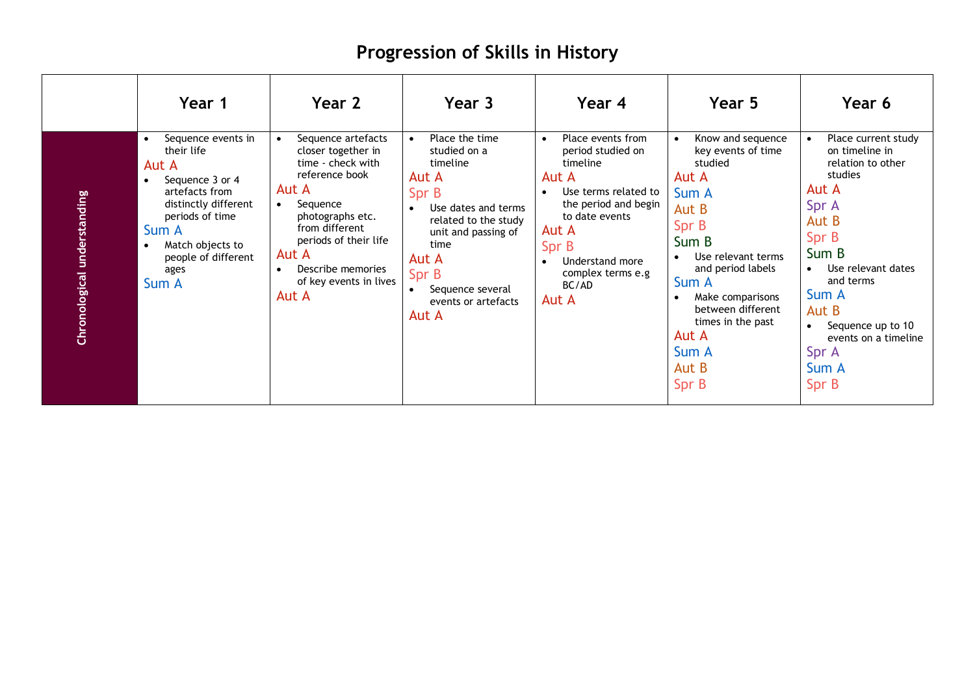## **Progression of Skills in History**

|                             | Year 1                                                                                                                                                                                         | Year 2                                                                                                                                                                                                                                            | Year 3                                                                                                                                                                                                           | Year 4                                                                                                                                                                                                                                           | Year 5                                                                                                                                                                                                                                                                                       | Year 6                                                                                                                                                                                                                                          |
|-----------------------------|------------------------------------------------------------------------------------------------------------------------------------------------------------------------------------------------|---------------------------------------------------------------------------------------------------------------------------------------------------------------------------------------------------------------------------------------------------|------------------------------------------------------------------------------------------------------------------------------------------------------------------------------------------------------------------|--------------------------------------------------------------------------------------------------------------------------------------------------------------------------------------------------------------------------------------------------|----------------------------------------------------------------------------------------------------------------------------------------------------------------------------------------------------------------------------------------------------------------------------------------------|-------------------------------------------------------------------------------------------------------------------------------------------------------------------------------------------------------------------------------------------------|
| Chronological understanding | Sequence events in<br>their life<br>Aut A<br>Sequence 3 or 4<br>artefacts from<br>distinctly different<br>periods of time<br>Sum A<br>Match objects to<br>people of different<br>ages<br>Sum A | Sequence artefacts<br>closer together in<br>time - check with<br>reference book<br>Aut A<br>Sequence<br>$\bullet$<br>photographs etc.<br>from different<br>periods of their life<br>Aut A<br>Describe memories<br>of key events in lives<br>Aut A | Place the time<br>studied on a<br>timeline<br>Aut A<br>Spr B<br>Use dates and terms<br>related to the study<br>unit and passing of<br>time<br>Aut A<br>Spr B<br>Sequence several<br>events or artefacts<br>Aut A | Place events from<br>$\bullet$<br>period studied on<br>timeline<br>Aut A<br>Use terms related to<br>$\bullet$<br>the period and begin<br>to date events<br>Aut A<br>Spr B<br>Understand more<br>$\bullet$<br>complex terms e.g<br>BC/AD<br>Aut A | Know and sequence<br>$\bullet$<br>key events of time<br>studied<br>Aut A<br>Sum A<br>Aut B<br>Spr B<br>Sum B<br>Use relevant terms<br>$\bullet$<br>and period labels<br>Sum A<br>Make comparisons<br>$\bullet$<br>between different<br>times in the past<br>Aut A<br>Sum A<br>Aut B<br>Spr B | Place current study<br>on timeline in<br>relation to other<br>studies<br>Aut A<br>Spr A<br>Aut B<br>Spr B<br>Sum B<br>Use relevant dates<br>and terms<br>Sum A<br>Aut B<br>Sequence up to 10<br>events on a timeline<br>Spr A<br>Sum A<br>Spr B |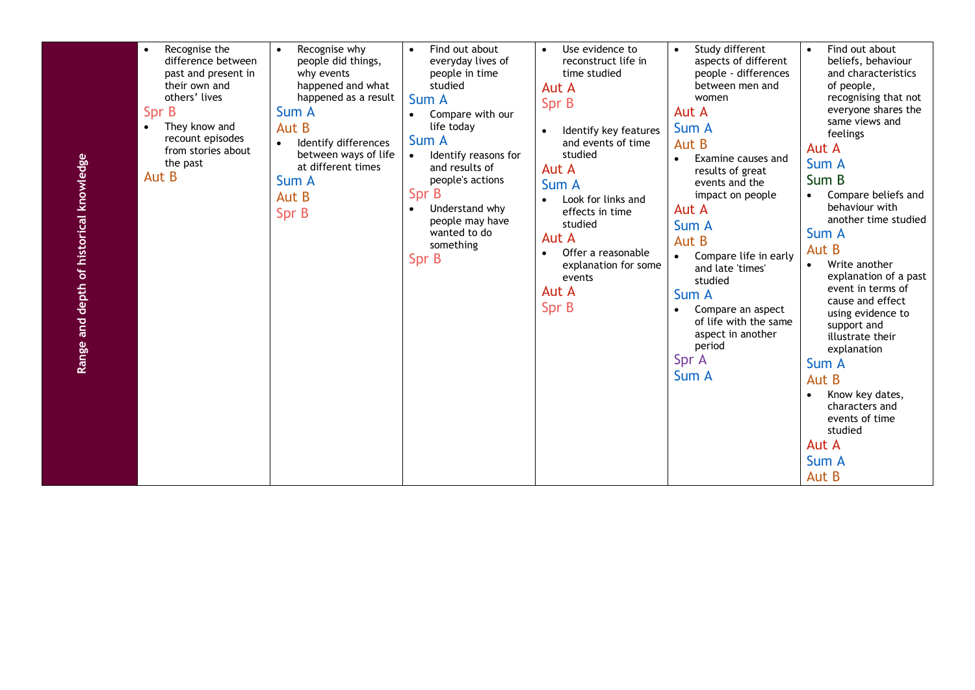| Range and depth of historical knowledge | Recognise the<br>$\bullet$<br>difference between<br>past and present in<br>their own and<br>others' lives<br>Spr B<br>They know and<br>$\bullet$<br>recount episodes<br>from stories about<br>the past<br>Aut B | Recognise why<br>$\bullet$<br>people did things,<br>why events<br>happened and what<br>happened as a result<br>Sum A<br>Aut B<br>Identify differences<br>between ways of life<br>at different times<br>Sum A<br>Aut B<br>Spr B | Find out about<br>$\bullet$<br>everyday lives of<br>people in time<br>studied<br>Sum A<br>Compare with our<br>life today<br>Sum A<br>Identify reasons for<br>$\bullet$<br>and results of<br>people's actions<br>Spr B<br>Understand why<br>$\bullet$<br>people may have<br>wanted to do<br>something<br>Spr B | Use evidence to<br>$\bullet$<br>reconstruct life in<br>time studied<br>Aut A<br>Spr B<br>Identify key features<br>and events of time<br>studied<br>Aut A<br>Sum A<br>Look for links and<br>effects in time<br>studied<br>Aut A<br>Offer a reasonable<br>explanation for some<br>events<br>Aut A<br>Spr B | Study different<br>$\bullet$<br>aspects of different<br>people - differences<br>between men and<br>women<br>Aut A<br>Sum A<br>Aut B<br>Examine causes and<br>$\bullet$<br>results of great<br>events and the<br>impact on people<br>Aut A<br>Sum A<br>Aut B<br>Compare life in early<br>and late 'times'<br>studied<br>Sum A<br>Compare an aspect<br>$\bullet$<br>of life with the same<br>aspect in another<br>period<br>Spr A<br>Sum A | Find out about<br>$\bullet$<br>beliefs, behaviour<br>and characteristics<br>of people,<br>recognising that not<br>everyone shares the<br>same views and<br>feelings<br>Aut A<br>Sum A<br>Sum B<br>Compare beliefs and<br>$\bullet$<br>behaviour with<br>another time studied<br>Sum A<br>Aut B<br>Write another<br>$\bullet$<br>explanation of a past<br>event in terms of<br>cause and effect<br>using evidence to<br>support and<br>illustrate their<br>explanation<br>Sum A<br>Aut B<br>Know key dates,<br>$\bullet$<br>characters and<br>events of time<br>studied<br>Aut A |
|-----------------------------------------|-----------------------------------------------------------------------------------------------------------------------------------------------------------------------------------------------------------------|--------------------------------------------------------------------------------------------------------------------------------------------------------------------------------------------------------------------------------|---------------------------------------------------------------------------------------------------------------------------------------------------------------------------------------------------------------------------------------------------------------------------------------------------------------|----------------------------------------------------------------------------------------------------------------------------------------------------------------------------------------------------------------------------------------------------------------------------------------------------------|------------------------------------------------------------------------------------------------------------------------------------------------------------------------------------------------------------------------------------------------------------------------------------------------------------------------------------------------------------------------------------------------------------------------------------------|---------------------------------------------------------------------------------------------------------------------------------------------------------------------------------------------------------------------------------------------------------------------------------------------------------------------------------------------------------------------------------------------------------------------------------------------------------------------------------------------------------------------------------------------------------------------------------|
|                                         |                                                                                                                                                                                                                 |                                                                                                                                                                                                                                |                                                                                                                                                                                                                                                                                                               |                                                                                                                                                                                                                                                                                                          |                                                                                                                                                                                                                                                                                                                                                                                                                                          | Sum A<br>Aut B                                                                                                                                                                                                                                                                                                                                                                                                                                                                                                                                                                  |
|                                         |                                                                                                                                                                                                                 |                                                                                                                                                                                                                                |                                                                                                                                                                                                                                                                                                               |                                                                                                                                                                                                                                                                                                          |                                                                                                                                                                                                                                                                                                                                                                                                                                          |                                                                                                                                                                                                                                                                                                                                                                                                                                                                                                                                                                                 |

Range and depth of historical knowledge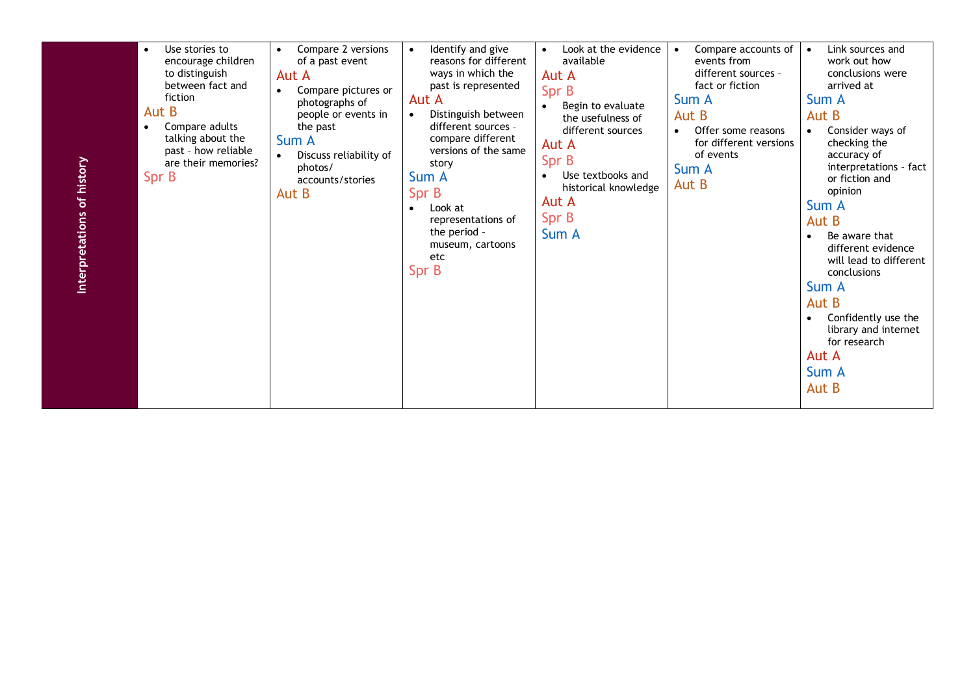| Use stories to<br>$\bullet$<br>encourage children<br>to distinguish<br>between fact and<br>fiction<br>Aut B<br>Compare adults<br>$\bullet$<br>talking about the<br>past - how reliable<br>are their memories?<br>Spr B | Compare 2 versions<br>of a past event<br>Aut A<br>Compare pictures or<br>$\bullet$<br>photographs of<br>people or events in<br>the past<br>Sum A<br>Discuss reliability of<br>photos/<br>accounts/stories<br>Aut B | Identify and give<br>reasons for different<br>ways in which the<br>past is represented<br>Aut A<br>Distinguish between<br>different sources -<br>compare different<br>versions of the same<br>story<br>Sum A<br>Spr B<br>Look at<br>$\bullet$<br>representations of<br>the period -<br>museum, cartoons<br>etc<br>Spr B | Look at the evidence<br>available<br>Aut A<br>Spr B<br>Begin to evaluate<br>the usefulness of<br>different sources<br>Aut A<br>Spr B<br>Use textbooks and<br>historical knowledge<br>Aut A<br>Spr B<br>Sum A | Compare accounts of<br>events from<br>different sources -<br>fact or fiction<br>Sum A<br>Aut B<br>Offer some reasons<br>$\bullet$<br>for different versions<br>of events<br>Sum A<br>Aut B | Link sources and<br>work out how<br>conclusions were<br>arrived at<br>Sum A<br>Aut B<br>Consider ways of<br>checking the<br>accuracy of<br>interpretations - fact<br>or fiction and<br>opinion<br>Sum A<br>Aut B<br>Be aware that<br>different evidence<br>will lead to different<br>conclusions<br>Sum A<br>Aut B<br>Confidently use the<br>library and internet<br>for research<br>Aut A<br>Sum A<br>Aut B |
|------------------------------------------------------------------------------------------------------------------------------------------------------------------------------------------------------------------------|--------------------------------------------------------------------------------------------------------------------------------------------------------------------------------------------------------------------|-------------------------------------------------------------------------------------------------------------------------------------------------------------------------------------------------------------------------------------------------------------------------------------------------------------------------|--------------------------------------------------------------------------------------------------------------------------------------------------------------------------------------------------------------|--------------------------------------------------------------------------------------------------------------------------------------------------------------------------------------------|--------------------------------------------------------------------------------------------------------------------------------------------------------------------------------------------------------------------------------------------------------------------------------------------------------------------------------------------------------------------------------------------------------------|
|------------------------------------------------------------------------------------------------------------------------------------------------------------------------------------------------------------------------|--------------------------------------------------------------------------------------------------------------------------------------------------------------------------------------------------------------------|-------------------------------------------------------------------------------------------------------------------------------------------------------------------------------------------------------------------------------------------------------------------------------------------------------------------------|--------------------------------------------------------------------------------------------------------------------------------------------------------------------------------------------------------------|--------------------------------------------------------------------------------------------------------------------------------------------------------------------------------------------|--------------------------------------------------------------------------------------------------------------------------------------------------------------------------------------------------------------------------------------------------------------------------------------------------------------------------------------------------------------------------------------------------------------|